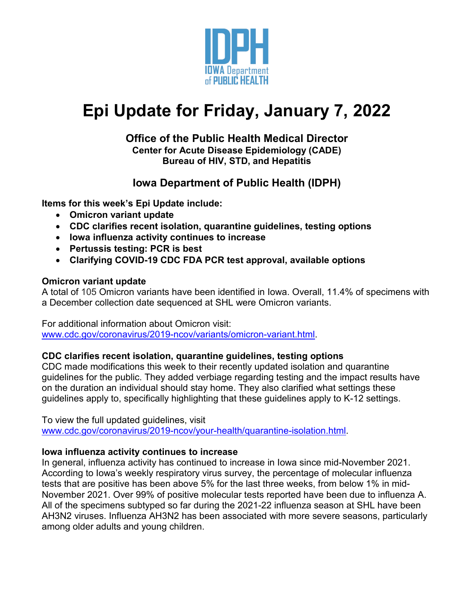

# **Epi Update for Friday, January 7, 2022**

# **Office of the Public Health Medical Director Center for Acute Disease Epidemiology (CADE) Bureau of HIV, STD, and Hepatitis**

# **Iowa Department of Public Health (IDPH)**

**Items for this week's Epi Update include:**

- **Omicron variant update**
- **CDC clarifies recent isolation, quarantine guidelines, testing options**
- **Iowa influenza activity continues to increase**
- **Pertussis testing: PCR is best**
- **Clarifying COVID-19 CDC FDA PCR test approval, available options**

# **Omicron variant update**

A total of 105 Omicron variants have been identified in Iowa. Overall, 11.4% of specimens with a December collection date sequenced at SHL were Omicron variants.

For additional information about Omicron visit:

[www.cdc.gov/coronavirus/2019-ncov/variants/omicron-variant.html.](http://www.cdc.gov/coronavirus/2019-ncov/variants/omicron-variant.html)

# **CDC clarifies recent isolation, quarantine guidelines, testing options**

CDC made modifications this week to their recently updated isolation and quarantine guidelines for the public. They added verbiage regarding testing and the impact results have on the duration an individual should stay home. They also clarified what settings these guidelines apply to, specifically highlighting that these guidelines apply to K-12 settings.

To view the full updated guidelines, visit [www.cdc.gov/coronavirus/2019-ncov/your-health/quarantine-isolation.html.](http://www.cdc.gov/coronavirus/2019-ncov/your-health/quarantine-isolation.html)

# **Iowa influenza activity continues to increase**

In general, influenza activity has continued to increase in Iowa since mid-November 2021. According to Iowa's weekly respiratory virus survey, the percentage of molecular influenza tests that are positive has been above 5% for the last three weeks, from below 1% in mid-November 2021. Over 99% of positive molecular tests reported have been due to influenza A. All of the specimens subtyped so far during the 2021-22 influenza season at SHL have been AH3N2 viruses. Influenza AH3N2 has been associated with more severe seasons, particularly among older adults and young children.